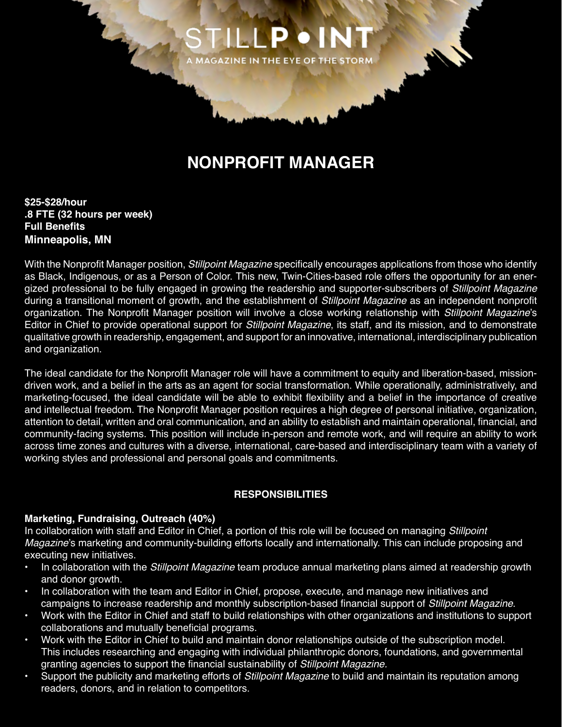

# **NONPROFIT MANAGER**

**\$25-\$28/hour .8 FTE (32 hours per week) Full Benefits Minneapolis, MN**

With the Nonprofit Manager position, *Stillpoint Magazine* specifically encourages applications from those who identify as Black, Indigenous, or as a Person of Color. This new, Twin-Cities-based role offers the opportunity for an energized professional to be fully engaged in growing the readership and supporter-subscribers of *Stillpoint Magazine* during a transitional moment of growth, and the establishment of *Stillpoint Magazine* as an independent nonprofit organization. The Nonprofit Manager position will involve a close working relationship with *Stillpoint Magazine*'s Editor in Chief to provide operational support for *Stillpoint Magazine*, its staff, and its mission, and to demonstrate qualitative growth in readership, engagement, and support for an innovative, international, interdisciplinary publication and organization.

The ideal candidate for the Nonprofit Manager role will have a commitment to equity and liberation-based, missiondriven work, and a belief in the arts as an agent for social transformation. While operationally, administratively, and marketing-focused, the ideal candidate will be able to exhibit flexibility and a belief in the importance of creative and intellectual freedom. The Nonprofit Manager position requires a high degree of personal initiative, organization, attention to detail, written and oral communication, and an ability to establish and maintain operational, financial, and community-facing systems. This position will include in-person and remote work, and will require an ability to work across time zones and cultures with a diverse, international, care-based and interdisciplinary team with a variety of working styles and professional and personal goals and commitments.

#### **RESPONSIBILITIES**

## **Marketing, Fundraising, Outreach (40%)**

In collaboration with staff and Editor in Chief, a portion of this role will be focused on managing *Stillpoint Magazine*'s marketing and community-building efforts locally and internationally. This can include proposing and executing new initiatives.

- In collaboration with the *Stillpoint Magazine* team produce annual marketing plans aimed at readership growth and donor growth.
- In collaboration with the team and Editor in Chief, propose, execute, and manage new initiatives and campaigns to increase readership and monthly subscription-based financial support of *Stillpoint Magazine*.
- Work with the Editor in Chief and staff to build relationships with other organizations and institutions to support collaborations and mutually beneficial programs.
- Work with the Editor in Chief to build and maintain donor relationships outside of the subscription model. This includes researching and engaging with individual philanthropic donors, foundations, and governmental granting agencies to support the financial sustainability of *Stillpoint Magazine.*
- Support the publicity and marketing efforts of *Stillpoint Magazine* to build and maintain its reputation among readers, donors, and in relation to competitors.